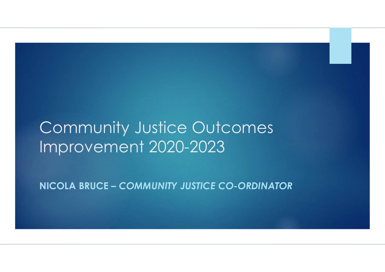## Community Justice Outcomes Improvement 2020-2023

NICOLA BRUCE – COMMUNITY JUSTICE CO-ORDINATOR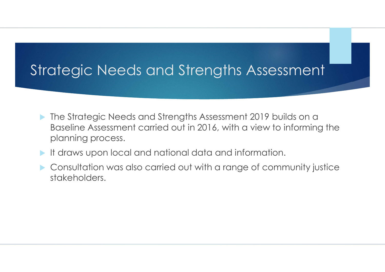### Strategic Needs and Strengths Assessment

- **The Strategic Needs and Strengths Assessment 2019 builds on a** Baseline Assessment carried out in 2016, with a view to informing the planning process.
- It draws upon local and national data and information.
- Consultation was also carried out with a range of community justice stakeholders.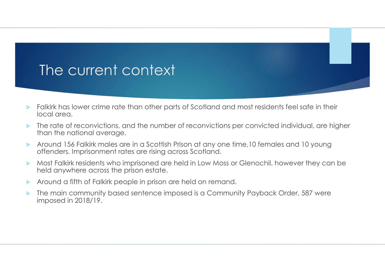### The current context

- Falkirk has lower crime rate than other parts of Scotland and most residents feel safe in their local area.
- The rate of reconvictions, and the number of reconvictions per convicted individual, are higher than the national average.
- Around 156 Falkirk males are in a Scottish Prison at any one time,10 females and 10 young offenders. Imprisonment rates are rising across Scotland.
- Most Falkirk residents who imprisoned are held in Low Moss or Glenochil, however they can be held anywhere across the prison estate.
- Around a fifth of Falkirk people in prison are held on remand.
- The main community based sentence imposed is a Community Payback Order. 587 were imposed in 2018/19.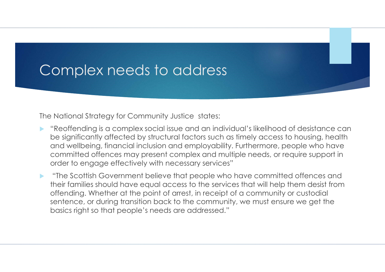### Complex needs to address

The National Strategy for Community Justice states:

- **EXT** "Reoffending is a complex social issue and an individual's likelihood of desistance can be significantly affected by structural factors such as timely access to housing, health and wellbeing, financial inclusion and employability. Furthermore, people who have committed offences may present complex and multiple needs, or require support in order to engage effectively with necessary services"
- **The Scottish Government believe that people who have committed offences and** their families should have equal access to the services that will help them desist from offending. Whether at the point of arrest, in receipt of a community or custodial sentence, or during transition back to the community, we must ensure we get the basics right so that people's needs are addressed."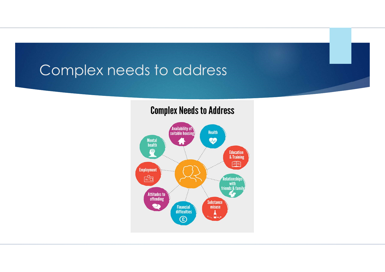### Complex needs to address

### **Complex Needs to Address**

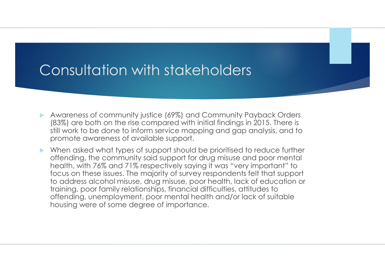- Awareness of community justice (69%) and Community Payback Orders (83%) are both on the rise compared with initial findings in 2015. There is still work to be done to inform service mapping and gap analysis, and to promote awareness of available support.
- When asked what types of support should be prioritised to reduce further offending, the community said support for drug misuse and poor mental health, with 76% and 71% respectively saying it was "very important" to focus on these issues. The majority of survey respondents felt that support to address alcohol misuse, drug misuse, poor health, lack of education or training, poor family relationships, financial difficulties, attitudes to offending, unemployment, poor mental health and/or lack of suitable housing were of some degree of importance.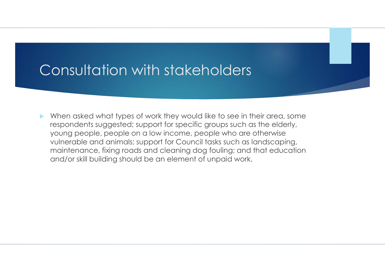When asked what types of work they would like to see in their area, some respondents suggested; support for specific groups such as the elderly, young people, people on a low income, people who are otherwise vulnerable and animals; support for Council tasks such as landscaping, maintenance, fixing roads and cleaning dog fouling; and that education and/or skill building should be an element of unpaid work.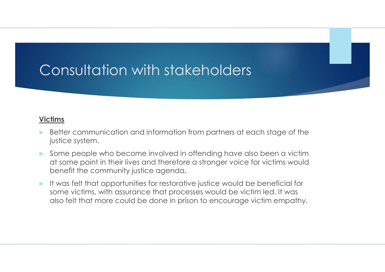#### Victims

- Better communication and information from partners at each stage of the justice system.
- Some people who become involved in offending have also been a victim at some point in their lives and therefore a stronger voice for victims would benefit the community justice agenda.
- It was felt that opportunities for restorative justice would be beneficial for some victims, with assurance that processes would be victim led. It was also felt that more could be done in prison to encourage victim empathy.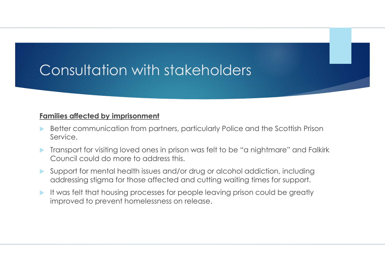#### Families affected by imprisonment

- Better communication from partners, particularly Police and the Scottish Prison Service.
- **Transport for visiting loved ones in prison was felt to be "a nightmare" and Falkirk** Council could do more to address this.
- Support for mental health issues and/or drug or alcohol addiction, including addressing stigma for those affected and cutting waiting times for support.
- It was felt that housing processes for people leaving prison could be greatly improved to prevent homelessness on release.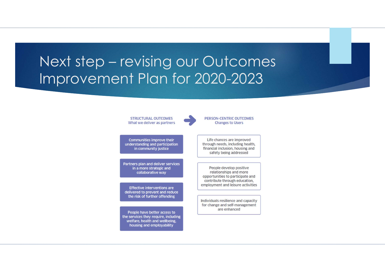### Next step – revising our Outcomes Improvement Plan for 2020-2023

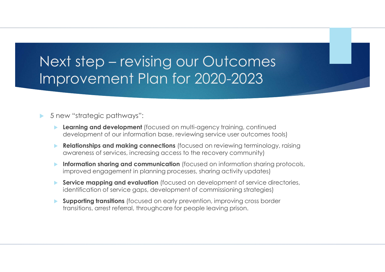### Next step – revising our Outcomes Improvement Plan for 2020-2023

#### ▶ 5 new "strategic pathways":

- **Learning and development** (focused on multi-agency training, continued development of our information base, reviewing service user outcomes tools)
- **Relationships and making connections** (focused on reviewing terminology, raising awareness of services, increasing access to the recovery community)
- **Information sharing and communication** (focused on information sharing protocols, improved engagement in planning processes, sharing activity updates)
- Service mapping and evaluation (focused on development of service directories, identification of service gaps, development of commissioning strategies)
- **Supporting transitions** (focused on early prevention, improving cross border transitions, arrest referral, throughcare for people leaving prison.